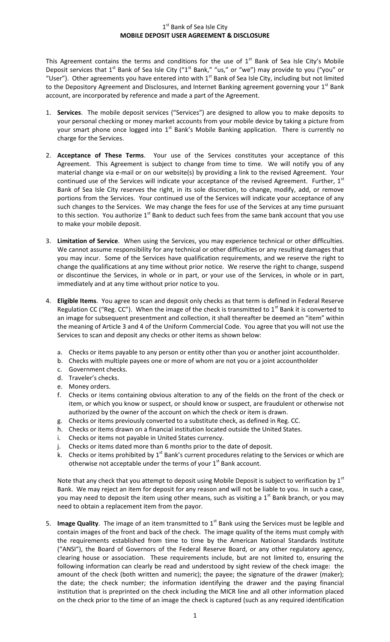## 1<sup>st</sup> Bank of Sea Isle City **MOBILE DEPOSIT USER AGREEMENT & DISCLOSURE**

This Agreement contains the terms and conditions for the use of  $1<sup>st</sup>$  Bank of Sea Isle City's Mobile Deposit services that 1<sup>st</sup> Bank of Sea Isle City ("1<sup>st</sup> Bank," "us," or "we") may provide to you ("you" or "User"). Other agreements you have entered into with 1<sup>st</sup> Bank of Sea Isle City, including but not limited to the Depository Agreement and Disclosures, and Internet Banking agreement governing your 1<sup>st</sup> Bank account, are incorporated by reference and made a part of the Agreement.

- 1. **Services**. The mobile deposit services ("Services") are designed to allow you to make deposits to your personal checking or money market accounts from your mobile device by taking a picture from your smart phone once logged into  $1<sup>st</sup>$  Bank's Mobile Banking application. There is currently no charge for the Services.
- 2. **Acceptance of These Terms**. Your use of the Services constitutes your acceptance of this Agreement. This Agreement is subject to change from time to time. We will notify you of any material change via e-mail or on our website(s) by providing a link to the revised Agreement. Your continued use of the Services will indicate your acceptance of the revised Agreement. Further,  $1<sup>st</sup>$ Bank of Sea Isle City reserves the right, in its sole discretion, to change, modify, add, or remove portions from the Services. Your continued use of the Services will indicate your acceptance of any such changes to the Services. We may change the fees for use of the Services at any time pursuant to this section. You authorize  $1<sup>st</sup>$  Bank to deduct such fees from the same bank account that you use to make your mobile deposit.
- 3. **Limitation of Service**. When using the Services, you may experience technical or other difficulties. We cannot assume responsibility for any technical or other difficulties or any resulting damages that you may incur. Some of the Services have qualification requirements, and we reserve the right to change the qualifications at any time without prior notice. We reserve the right to change, suspend or discontinue the Services, in whole or in part, or your use of the Services, in whole or in part, immediately and at any time without prior notice to you.
- 4. **Eligible Items**. You agree to scan and deposit only checks as that term is defined in Federal Reserve Regulation CC ("Reg. CC"). When the image of the check is transmitted to  $1<sup>st</sup>$  Bank it is converted to an image for subsequent presentment and collection, it shall thereafter be deemed an "item" within the meaning of Article 3 and 4 of the Uniform Commercial Code. You agree that you will not use the Services to scan and deposit any checks or other items as shown below:
	- a. Checks or items payable to any person or entity other than you or another joint accountholder.
	- b. Checks with multiple payees one or more of whom are not you or a joint accountholder
	- c. Government checks.
	- d. Traveler's checks.
	- e. Money orders.
	- f. Checks or items containing obvious alteration to any of the fields on the front of the check or item, or which you know or suspect, or should know or suspect, are fraudulent or otherwise not authorized by the owner of the account on which the check or item is drawn.
	- g. Checks or items previously converted to a substitute check, as defined in Reg. CC.
	- h. Checks or items drawn on a financial institution located outside the United States.
	- i. Checks or items not payable in United States currency.
	- j. Checks or items dated more than 6 months prior to the date of deposit.
	- k. Checks or items prohibited by  $1^{st}$  Bank's current procedures relating to the Services or which are otherwise not acceptable under the terms of your  $1<sup>st</sup>$  Bank account.

Note that any check that you attempt to deposit using Mobile Deposit is subject to verification by  $1<sup>st</sup>$ Bank. We may reject an item for deposit for any reason and will not be liable to you. In such a case, you may need to deposit the item using other means, such as visiting a  $1<sup>st</sup>$  Bank branch, or you may need to obtain a replacement item from the payor.

5. **Image Quality**. The image of an item transmitted to 1<sup>st</sup> Bank using the Services must be legible and contain images of the front and back of the check. The image quality of the items must comply with the requirements established from time to time by the American National Standards Institute ("ANSI"), the Board of Governors of the Federal Reserve Board, or any other regulatory agency, clearing house or association. These requirements include, but are not limited to, ensuring the following information can clearly be read and understood by sight review of the check image: the amount of the check (both written and numeric); the payee; the signature of the drawer (maker); the date; the check number; the information identifying the drawer and the paying financial institution that is preprinted on the check including the MICR line and all other information placed on the check prior to the time of an image the check is captured (such as any required identification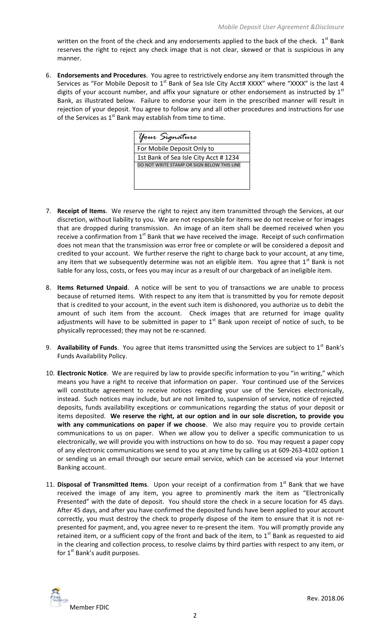written on the front of the check and any endorsements applied to the back of the check.  $1^{st}$  Bank reserves the right to reject any check image that is not clear, skewed or that is suspicious in any manner.

6. **Endorsements and Procedures**. You agree to restrictively endorse any item transmitted through the Services as "For Mobile Deposit to  $1<sup>st</sup>$  Bank of Sea Isle City Acct# XXXX" where "XXXX" is the last 4 digits of your account number, and affix your signature or other endorsement as instructed by  $1<sup>st</sup>$ Bank, as illustrated below. Failure to endorse your item in the prescribed manner will result in rejection of your deposit. You agree to follow any and all other procedures and instructions for use of the Services as  $1<sup>st</sup>$  Bank may establish from time to time.



- 7. **Receipt of Items**. We reserve the right to reject any item transmitted through the Services, at our discretion, without liability to you. We are not responsible for items we do not receive or for images that are dropped during transmission. An image of an item shall be deemed received when you receive a confirmation from  $1<sup>st</sup>$  Bank that we have received the image. Receipt of such confirmation does not mean that the transmission was error free or complete or will be considered a deposit and credited to your account. We further reserve the right to charge back to your account, at any time, any item that we subsequently determine was not an eligible item. You agree that  $1<sup>st</sup>$  Bank is not liable for any loss, costs, or fees you may incur as a result of our chargeback of an ineligible item.
- 8. **Items Returned Unpaid**. A notice will be sent to you of transactions we are unable to process because of returned items. With respect to any item that is transmitted by you for remote deposit that is credited to your account, in the event such item is dishonored, you authorize us to debit the amount of such item from the account. Check images that are returned for image quality adjustments will have to be submitted in paper to  $1<sup>st</sup>$  Bank upon receipt of notice of such, to be physically reprocessed; they may not be re-scanned.
- 9. **Availability of Funds**. You agree that items transmitted using the Services are subject to 1<sup>st</sup> Bank's Funds Availability Policy.
- 10. **Electronic Notice**. We are required by law to provide specific information to you "in writing," which means you have a right to receive that information on paper. Your continued use of the Services will constitute agreement to receive notices regarding your use of the Services electronically, instead. Such notices may include, but are not limited to, suspension of service, notice of rejected deposits, funds availability exceptions or communications regarding the status of your deposit or items deposited. **We reserve the right, at our option and in our sole discretion, to provide you with any communications on paper if we choose**. We also may require you to provide certain communications to us on paper. When we allow you to deliver a specific communication to us electronically, we will provide you with instructions on how to do so. You may request a paper copy of any electronic communications we send to you at any time by calling us at 609-263-4102 option 1 or sending us an email through our secure email service, which can be accessed via your Internet Banking account.
- 11. Disposal of Transmitted Items. Upon your receipt of a confirmation from 1<sup>st</sup> Bank that we have received the image of any item, you agree to prominently mark the item as "Electronically Presented" with the date of deposit. You should store the check in a secure location for 45 days. After 45 days, and after you have confirmed the deposited funds have been applied to your account correctly, you must destroy the check to properly dispose of the item to ensure that it is not represented for payment, and, you agree never to re-present the item. You will promptly provide any retained item, or a sufficient copy of the front and back of the item, to  $1<sup>st</sup>$  Bank as requested to aid in the clearing and collection process, to resolve claims by third parties with respect to any item, or for  $1^{st}$  Bank's audit purposes.

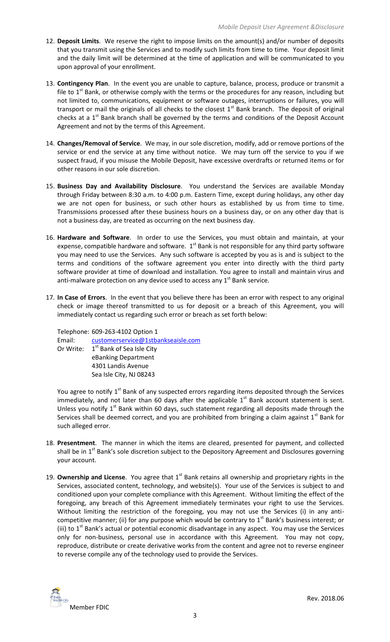- 12. **Deposit Limits**. We reserve the right to impose limits on the amount(s) and/or number of deposits that you transmit using the Services and to modify such limits from time to time. Your deposit limit and the daily limit will be determined at the time of application and will be communicated to you upon approval of your enrollment.
- 13. **Contingency Plan**. In the event you are unable to capture, balance, process, produce or transmit a file to  $1<sup>st</sup>$  Bank, or otherwise comply with the terms or the procedures for any reason, including but not limited to, communications, equipment or software outages, interruptions or failures, you will transport or mail the originals of all checks to the closest  $1<sup>st</sup>$  Bank branch. The deposit of original checks at a  $1<sup>st</sup>$  Bank branch shall be governed by the terms and conditions of the Deposit Account Agreement and not by the terms of this Agreement.
- 14. **Changes/Removal of Service**. We may, in our sole discretion, modify, add or remove portions of the service or end the service at any time without notice. We may turn off the service to you if we suspect fraud, if you misuse the Mobile Deposit, have excessive overdrafts or returned items or for other reasons in our sole discretion.
- 15. **Business Day and Availability Disclosure**. You understand the Services are available Monday through Friday between 8:30 a.m. to 4:00 p.m. Eastern Time, except during holidays, any other day we are not open for business, or such other hours as established by us from time to time. Transmissions processed after these business hours on a business day, or on any other day that is not a business day, are treated as occurring on the next business day.
- 16. **Hardware and Software**. In order to use the Services, you must obtain and maintain, at your expense, compatible hardware and software.  $1<sup>st</sup>$  Bank is not responsible for any third party software you may need to use the Services. Any such software is accepted by you as is and is subject to the terms and conditions of the software agreement you enter into directly with the third party software provider at time of download and installation. You agree to install and maintain virus and anti-malware protection on any device used to access any  $1<sup>st</sup>$  Bank service.
- 17. **In Case of Errors**. In the event that you believe there has been an error with respect to any original check or image thereof transmitted to us for deposit or a breach of this Agreement, you will immediately contact us regarding such error or breach as set forth below:

Telephone: 609-263-4102 Option 1 Email: [customerservice@1stbankseaisle.com](mailto:customerservice@1stbankseaisle.com) Or Write: 1<sup>st</sup> Bank of Sea Isle City eBanking Department 4301 Landis Avenue Sea Isle City, NJ 08243

You agree to notify 1<sup>st</sup> Bank of any suspected errors regarding items deposited through the Services immediately, and not later than 60 days after the applicable  $1<sup>st</sup>$  Bank account statement is sent. Unless you notify  $1<sup>st</sup>$  Bank within 60 days, such statement regarding all deposits made through the Services shall be deemed correct, and you are prohibited from bringing a claim against  $1<sup>st</sup>$  Bank for such alleged error.

- 18. **Presentment**. The manner in which the items are cleared, presented for payment, and collected shall be in 1<sup>st</sup> Bank's sole discretion subject to the Depository Agreement and Disclosures governing your account.
- 19. **Ownership and License**. You agree that 1<sup>st</sup> Bank retains all ownership and proprietary rights in the Services, associated content, technology, and website(s). Your use of the Services is subject to and conditioned upon your complete compliance with this Agreement. Without limiting the effect of the foregoing, any breach of this Agreement immediately terminates your right to use the Services. Without limiting the restriction of the foregoing, you may not use the Services (i) in any anticompetitive manner; (ii) for any purpose which would be contrary to  $1<sup>st</sup>$  Bank's business interest; or (iii) to  $1<sup>st</sup>$  Bank's actual or potential economic disadvantage in any aspect. You may use the Services only for non-business, personal use in accordance with this Agreement. You may not copy, reproduce, distribute or create derivative works from the content and agree not to reverse engineer to reverse compile any of the technology used to provide the Services.